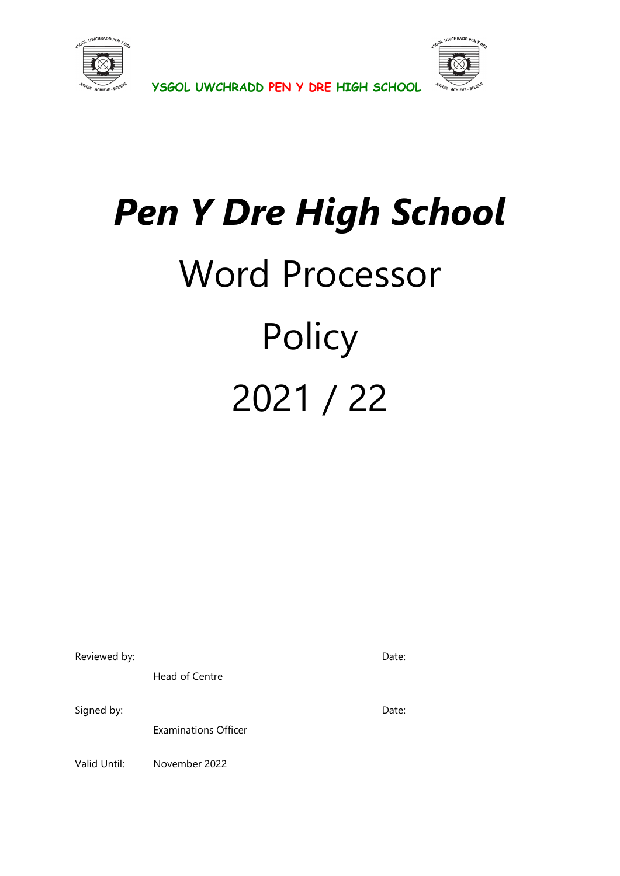



**YSGOL UWCHRADD PEN Y DRE HIGH SCHOOL** 

# *Pen Y Dre High School*  Word Processor **Policy** 2021 / 22

| Reviewed by: |                             | Date: |  |
|--------------|-----------------------------|-------|--|
|              | Head of Centre              |       |  |
|              |                             |       |  |
| Signed by:   |                             | Date: |  |
|              | <b>Examinations Officer</b> |       |  |
| Valid Until: | November 2022               |       |  |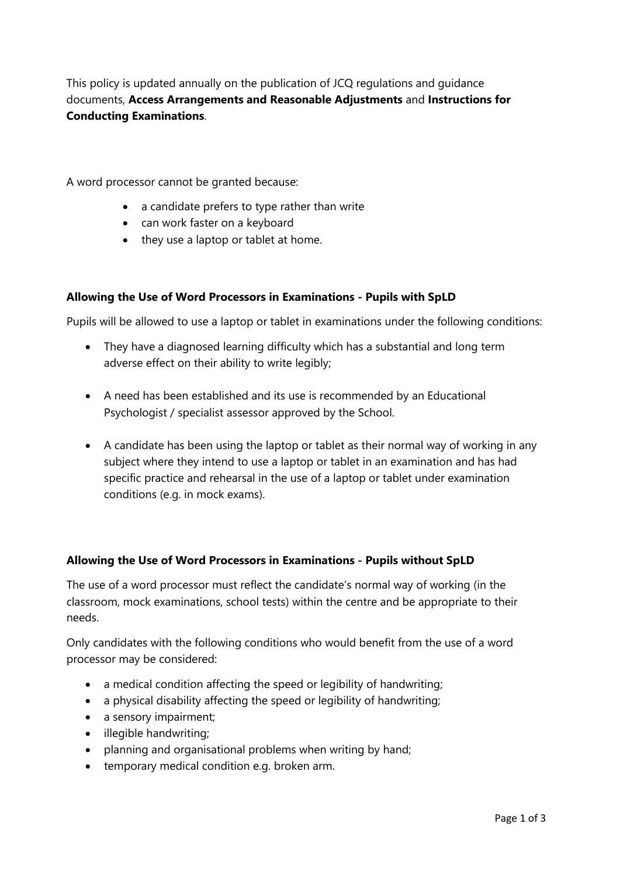This policy is updated annually on the publication of JCQ regulations and guidance documents, **Access Arrangements and Reasonable Adjustments** and **Instructions for Conducting Examinations**.

A word processor cannot be granted because:

- a candidate prefers to type rather than write
- can work faster on a keyboard
- they use a laptop or tablet at home.

#### **Allowing the Use of Word Processors in Examinations - Pupils with SpLD**

Pupils will be allowed to use a laptop or tablet in examinations under the following conditions:

- They have a diagnosed learning difficulty which has a substantial and long term adverse effect on their ability to write legibly;
- A need has been established and its use is recommended by an Educational Psychologist / specialist assessor approved by the School.
- A candidate has been using the laptop or tablet as their normal way of working in any subject where they intend to use a laptop or tablet in an examination and has had specific practice and rehearsal in the use of a laptop or tablet under examination conditions (e.g. in mock exams).

### **Allowing the Use of Word Processors in Examinations - Pupils without SpLD**

The use of a word processor must reflect the candidate's normal way of working (in the classroom, mock examinations, school tests) within the centre and be appropriate to their needs.

Only candidates with the following conditions who would benefit from the use of a word processor may be considered:

- a medical condition affecting the speed or legibility of handwriting;
- a physical disability affecting the speed or legibility of handwriting;
- a sensory impairment;
- illegible handwriting;
- planning and organisational problems when writing by hand;
- temporary medical condition e.g. broken arm.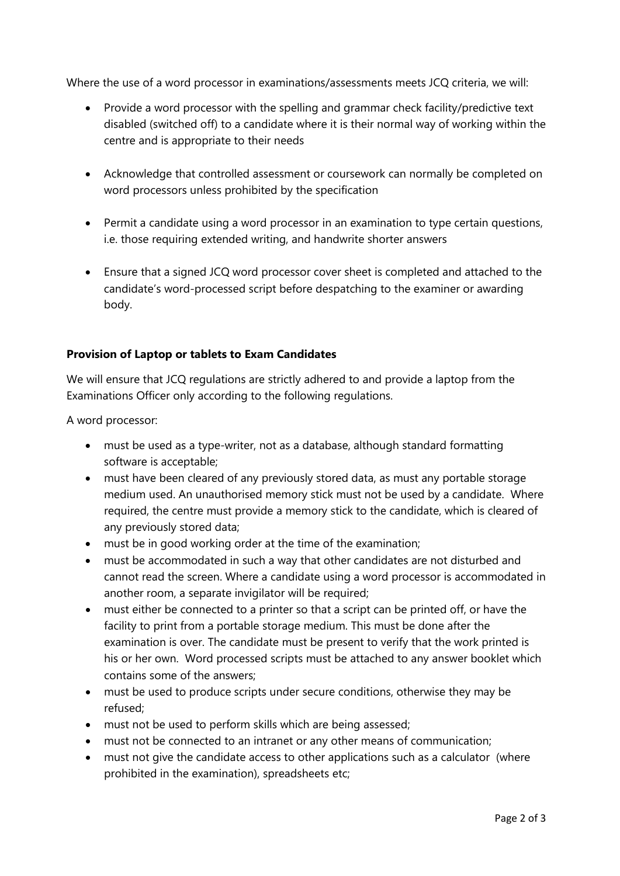Where the use of a word processor in examinations/assessments meets JCQ criteria, we will:

- Provide a word processor with the spelling and grammar check facility/predictive text disabled (switched off) to a candidate where it is their normal way of working within the centre and is appropriate to their needs
- Acknowledge that controlled assessment or coursework can normally be completed on word processors unless prohibited by the specification
- Permit a candidate using a word processor in an examination to type certain questions, i.e. those requiring extended writing, and handwrite shorter answers
- Ensure that a signed JCQ word processor cover sheet is completed and attached to the candidate's word-processed script before despatching to the examiner or awarding body.

# **Provision of Laptop or tablets to Exam Candidates**

We will ensure that JCQ regulations are strictly adhered to and provide a laptop from the Examinations Officer only according to the following regulations.

A word processor:

- must be used as a type-writer, not as a database, although standard formatting software is acceptable;
- must have been cleared of any previously stored data, as must any portable storage medium used. An unauthorised memory stick must not be used by a candidate. Where required, the centre must provide a memory stick to the candidate, which is cleared of any previously stored data;
- must be in good working order at the time of the examination;
- must be accommodated in such a way that other candidates are not disturbed and cannot read the screen. Where a candidate using a word processor is accommodated in another room, a separate invigilator will be required;
- must either be connected to a printer so that a script can be printed off, or have the facility to print from a portable storage medium. This must be done after the examination is over. The candidate must be present to verify that the work printed is his or her own. Word processed scripts must be attached to any answer booklet which contains some of the answers;
- must be used to produce scripts under secure conditions, otherwise they may be refused;
- must not be used to perform skills which are being assessed;
- must not be connected to an intranet or any other means of communication;
- must not give the candidate access to other applications such as a calculator (where prohibited in the examination), spreadsheets etc;